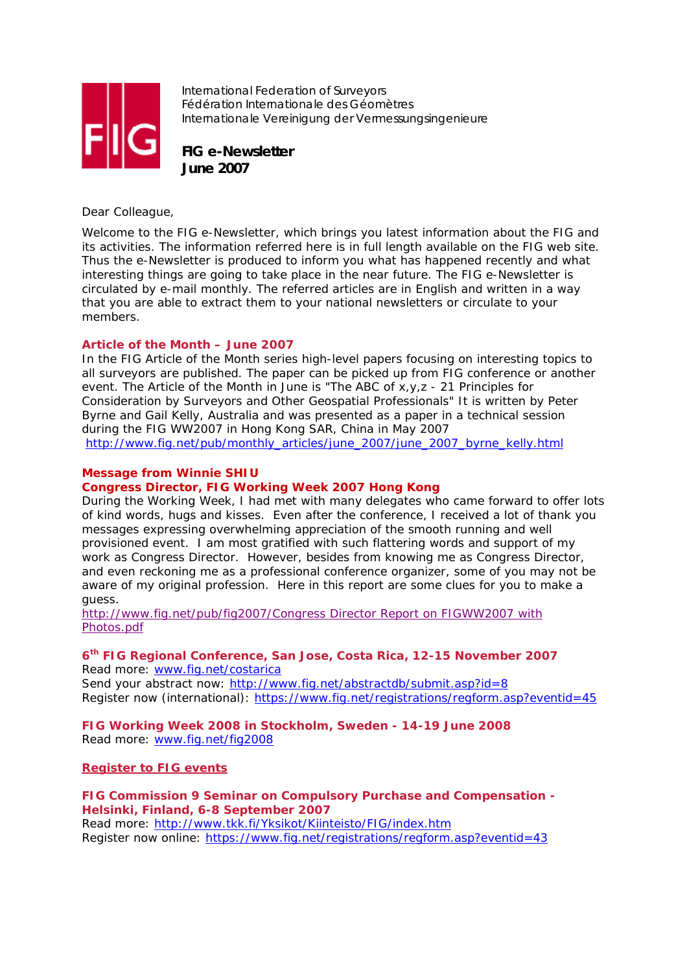

International Federation of Surveyors Fédération Internationale des Géomètres Internationale Vereinigung der Vermessungsingenieure

**FIG e-Newsletter June 2007**

Dear Colleague,

Welcome to the FIG e-Newsletter, which brings you latest information about the FIG and its activities. The information referred here is in full length available on the FIG web site. Thus the e-Newsletter is produced to inform you what has happened recently and what interesting things are going to take place in the near future. The FIG e-Newsletter is circulated by e-mail monthly. The referred articles are in English and written in a way that you are able to extract them to your national newsletters or circulate to your members.

# **Article of the Month – June 2007**

In the FIG Article of the Month series high-level papers focusing on interesting topics to all surveyors are published. The paper can be picked up from FIG conference or another event. The Article of the Month in June is "The ABC of x,y,z - 21 Principles for Consideration by Surveyors and Other Geospatial Professionals" It is written by Peter Byrne and Gail Kelly, Australia and was presented as a paper in a technical session during the FIG WW2007 in Hong Kong SAR, China in May 2007 http://www.fig.net/pub/monthly\_articles/june\_2007/june\_2007\_byrne\_kelly.html

### **Message from Winnie SHIU**

## **Congress Director, FIG Working Week 2007 Hong Kong**

During the Working Week, I had met with many delegates who came forward to offer lots of kind words, hugs and kisses. Even after the conference, I received a lot of thank you messages expressing overwhelming appreciation of the smooth running and well provisioned event. I am most gratified with such flattering words and support of my work as Congress Director. However, besides from knowing me as Congress Director, and even reckoning me as a professional conference organizer, some of you may not be aware of my original profession. Here in this report are some clues for you to make a guess.

http://www.fig.net/pub/fig2007/Congress Director Report on FIGWW2007 with Photos.pdf

#### **6th FIG Regional Conference, San Jose, Costa Rica, 12-15 November 2007**  Read more: www.fig.net/costarica

Send your abstract now: http://www.fig.net/abstractdb/submit.asp?id=8 Register now (international): https://www.fig.net/registrations/regform.asp?eventid=45

**FIG Working Week 2008 in Stockholm, Sweden - 14-19 June 2008**  Read more: www.fig.net/fig2008

## **Register to FIG events**

# **FIG Commission 9 Seminar on Compulsory Purchase and Compensation - Helsinki, Finland, 6-8 September 2007**

Read more: http://www.tkk.fi/Yksikot/Kiinteisto/FIG/index.htm Register now online: https://www.fig.net/registrations/regform.asp?eventid=43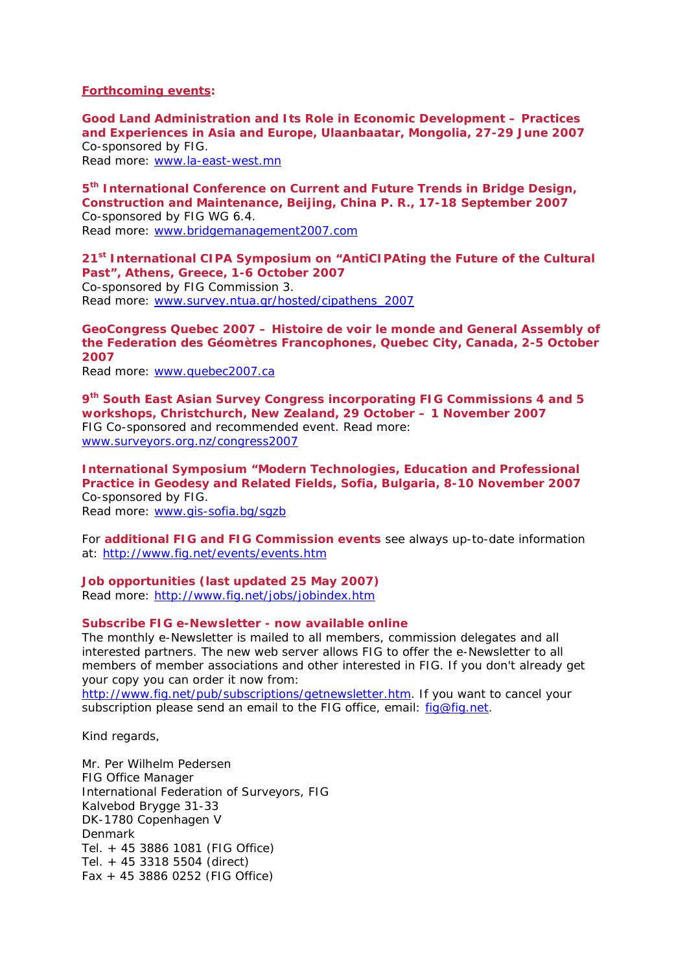**Forthcoming events:** 

**Good Land Administration and Its Role in Economic Development – Practices and Experiences in Asia and Europe, Ulaanbaatar, Mongolia, 27-29 June 2007**  Co-sponsored by FIG.

Read more: www.la-east-west.mn

**5th International Conference on Current and Future Trends in Bridge Design, Construction and Maintenance, Beijing, China P. R., 17-18 September 2007** Co-sponsored by FIG WG 6.4. Read more: www.bridgemanagement2007.com

**21st International CIPA Symposium on "AntiCIPAting the Future of the Cultural** 

**Past", Athens, Greece, 1-6 October 2007**  Co-sponsored by FIG Commission 3. Read more: www.survey.ntua.gr/hosted/cipathens\_2007

**GeoCongress Quebec 2007 – Histoire de voir le monde and General Assembly of the Federation des Géomètres Francophones, Quebec City, Canada, 2-5 October 2007** 

Read more: www.quebec2007.ca

**9th South East Asian Survey Congress incorporating FIG Commissions 4 and 5 workshops, Christchurch, New Zealand, 29 October – 1 November 2007** FIG Co-sponsored and recommended event. Read more: www.surveyors.org.nz/congress2007

**International Symposium "Modern Technologies, Education and Professional Practice in Geodesy and Related Fields, Sofia, Bulgaria, 8-10 November 2007**  Co-sponsored by FIG.

Read more: www.gis-sofia.bg/sgzb

For **additional FIG and FIG Commission events** see always up-to-date information at: http://www.fig.net/events/events.htm

**Job opportunities (last updated 25 May 2007)**  Read more: http://www.fig.net/jobs/jobindex.htm

## **Subscribe FIG e-Newsletter - now available online**

The monthly e-Newsletter is mailed to all members, commission delegates and all interested partners. The new web server allows FIG to offer the e-Newsletter to all members of member associations and other interested in FIG. If you don't already get your copy you can order it now from:

http://www.fig.net/pub/subscriptions/getnewsletter.htm. If you want to cancel your subscription please send an email to the FIG office, email: fig@fig.net.

Kind regards,

Mr. Per Wilhelm Pedersen FIG Office Manager International Federation of Surveyors, FIG Kalvebod Brygge 31-33 DK-1780 Copenhagen V Denmark Tel. + 45 3886 1081 (FIG Office) Tel. + 45 3318 5504 (direct) Fax + 45 3886 0252 (FIG Office)